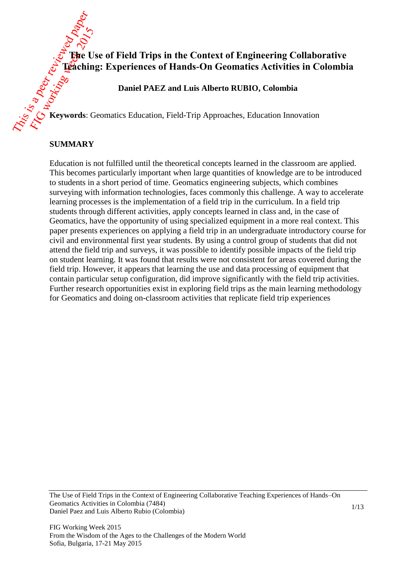# **The Use of Field Trips in the Context of Engineering Collaborative Teaching: Experiences of Hands-On Geomatics Activities in Colombia**

**Daniel PAEZ and Luis Alberto RUBIO, Colombia**

**Keywords**: Geomatics Education, Field-Trip Approaches, Education Innovation

#### **SUMMARY**

Education is not fulfilled until the theoretical concepts learned in the classroom are applied. This becomes particularly important when large quantities of knowledge are to be introduced to students in a short period of time. Geomatics engineering subjects, which combines surveying with information technologies, faces commonly this challenge. A way to accelerate learning processes is the implementation of a field trip in the curriculum. In a field trip students through different activities, apply concepts learned in class and, in the case of Geomatics, have the opportunity of using specialized equipment in a more real context. This paper presents experiences on applying a field trip in an undergraduate introductory course for civil and environmental first year students. By using a control group of students that did not attend the field trip and surveys, it was possible to identify possible impacts of the field trip on student learning. It was found that results were not consistent for areas covered during the field trip. However, it appears that learning the use and data processing of equipment that contain particular setup configuration, did improve significantly with the field trip activities. Further research opportunities exist in exploring field trips as the main learning methodology for Geomatics and doing on-classroom activities that replicate field trip experiences

The Use of Field Trips in the Context of Engineering Collaborative Teaching Experiences of Hands–On Geomatics Activities in Colombia (7484) Daniel Paez and Luis Alberto Rubio (Colombia)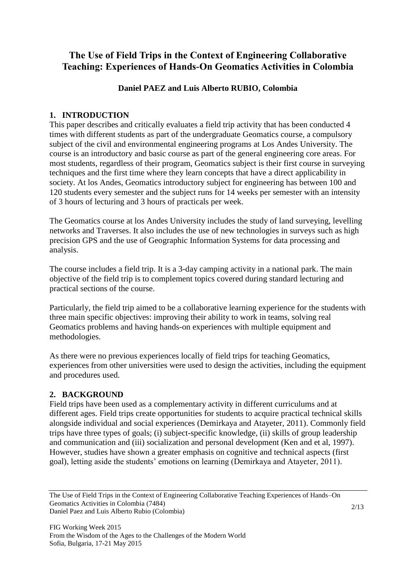# **The Use of Field Trips in the Context of Engineering Collaborative Teaching: Experiences of Hands-On Geomatics Activities in Colombia**

## **Daniel PAEZ and Luis Alberto RUBIO, Colombia**

## **1. INTRODUCTION**

This paper describes and critically evaluates a field trip activity that has been conducted 4 times with different students as part of the undergraduate Geomatics course, a compulsory subject of the civil and environmental engineering programs at Los Andes University. The course is an introductory and basic course as part of the general engineering core areas. For most students, regardless of their program, Geomatics subject is their first course in surveying techniques and the first time where they learn concepts that have a direct applicability in society. At los Andes, Geomatics introductory subject for engineering has between 100 and 120 students every semester and the subject runs for 14 weeks per semester with an intensity of 3 hours of lecturing and 3 hours of practicals per week.

The Geomatics course at los Andes University includes the study of land surveying, levelling networks and Traverses. It also includes the use of new technologies in surveys such as high precision GPS and the use of Geographic Information Systems for data processing and analysis.

The course includes a field trip. It is a 3-day camping activity in a national park. The main objective of the field trip is to complement topics covered during standard lecturing and practical sections of the course.

Particularly, the field trip aimed to be a collaborative learning experience for the students with three main specific objectives: improving their ability to work in teams, solving real Geomatics problems and having hands-on experiences with multiple equipment and methodologies.

As there were no previous experiences locally of field trips for teaching Geomatics, experiences from other universities were used to design the activities, including the equipment and procedures used.

## **2. BACKGROUND**

Field trips have been used as a complementary activity in different curriculums and at different ages. Field trips create opportunities for students to acquire practical technical skills alongside individual and social experiences (Demirkaya and Atayeter, 2011). Commonly field trips have three types of goals; (i) subject-specific knowledge, (ii) skills of group leadership and communication and (iii) socialization and personal development (Ken and et al, 1997). However, studies have shown a greater emphasis on cognitive and technical aspects (first goal), letting aside the students' emotions on learning (Demirkaya and Atayeter, 2011).

The Use of Field Trips in the Context of Engineering Collaborative Teaching Experiences of Hands–On Geomatics Activities in Colombia (7484) Daniel Paez and Luis Alberto Rubio (Colombia)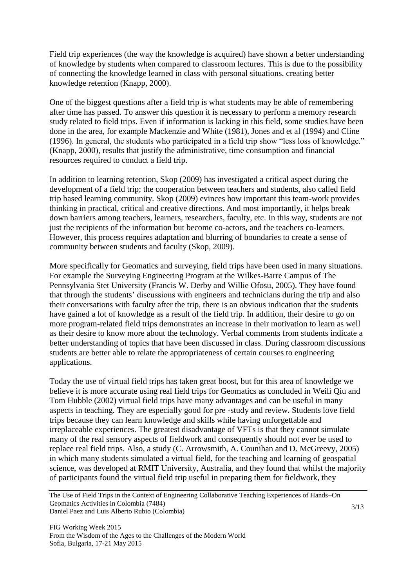Field trip experiences (the way the knowledge is acquired) have shown a better understanding of knowledge by students when compared to classroom lectures. This is due to the possibility of connecting the knowledge learned in class with personal situations, creating better knowledge retention (Knapp, 2000).

One of the biggest questions after a field trip is what students may be able of remembering after time has passed. To answer this question it is necessary to perform a memory research study related to field trips. Even if information is lacking in this field, some studies have been done in the area, for example Mackenzie and White (1981), Jones and et al (1994) and Cline (1996). In general, the students who participated in a field trip show "less loss of knowledge." (Knapp, 2000), results that justify the administrative, time consumption and financial resources required to conduct a field trip.

In addition to learning retention, Skop (2009) has investigated a critical aspect during the development of a field trip; the cooperation between teachers and students, also called field trip based learning community. Skop (2009) evinces how important this team-work provides thinking in practical, critical and creative directions. And most importantly, it helps break down barriers among teachers, learners, researchers, faculty, etc. In this way, students are not just the recipients of the information but become co-actors, and the teachers co-learners. However, this process requires adaptation and blurring of boundaries to create a sense of community between students and faculty (Skop, 2009).

More specifically for Geomatics and surveying, field trips have been used in many situations. For example the Surveying Engineering Program at the Wilkes-Barre Campus of The Pennsylvania Stet University (Francis W. Derby and Willie Ofosu, 2005). They have found that through the students' discussions with engineers and technicians during the trip and also their conversations with faculty after the trip, there is an obvious indication that the students have gained a lot of knowledge as a result of the field trip. In addition, their desire to go on more program-related field trips demonstrates an increase in their motivation to learn as well as their desire to know more about the technology. Verbal comments from students indicate a better understanding of topics that have been discussed in class. During classroom discussions students are better able to relate the appropriateness of certain courses to engineering applications.

Today the use of virtual field trips has taken great boost, but for this area of knowledge we believe it is more accurate using real field trips for Geomatics as concluded in Weili Qiu and Tom Hubble (2002) virtual field trips have many advantages and can be useful in many aspects in teaching. They are especially good for pre -study and review. Students love field trips because they can learn knowledge and skills while having unforgettable and irreplaceable experiences. The greatest disadvantage of VFTs is that they cannot simulate many of the real sensory aspects of fieldwork and consequently should not ever be used to replace real field trips. Also, a study (C. Arrowsmith, A. Counihan and D. McGreevy, 2005) in which many students simulated a virtual field, for the teaching and learning of geospatial science, was developed at RMIT University, Australia, and they found that whilst the majority of participants found the virtual field trip useful in preparing them for fieldwork, they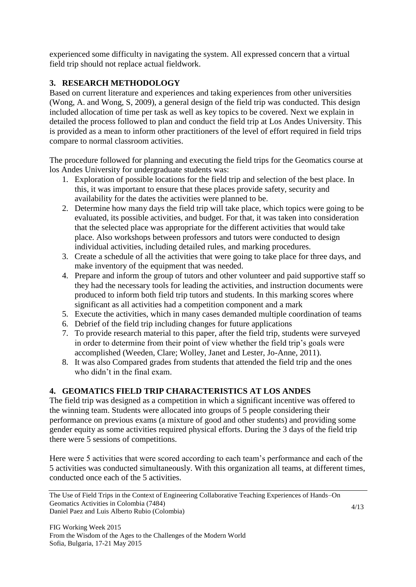experienced some difficulty in navigating the system. All expressed concern that a virtual field trip should not replace actual fieldwork.

## **3. RESEARCH METHODOLOGY**

Based on current literature and experiences and taking experiences from other universities (Wong, A. and Wong, S, 2009), a general design of the field trip was conducted. This design included allocation of time per task as well as key topics to be covered. Next we explain in detailed the process followed to plan and conduct the field trip at Los Andes University. This is provided as a mean to inform other practitioners of the level of effort required in field trips compare to normal classroom activities.

The procedure followed for planning and executing the field trips for the Geomatics course at los Andes University for undergraduate students was:

- 1. Exploration of possible locations for the field trip and selection of the best place. In this, it was important to ensure that these places provide safety, security and availability for the dates the activities were planned to be.
- 2. Determine how many days the field trip will take place, which topics were going to be evaluated, its possible activities, and budget. For that, it was taken into consideration that the selected place was appropriate for the different activities that would take place. Also workshops between professors and tutors were conducted to design individual activities, including detailed rules, and marking procedures.
- 3. Create a schedule of all the activities that were going to take place for three days, and make inventory of the equipment that was needed.
- 4. Prepare and inform the group of tutors and other volunteer and paid supportive staff so they had the necessary tools for leading the activities, and instruction documents were produced to inform both field trip tutors and students. In this marking scores where significant as all activities had a competition component and a mark
- 5. Execute the activities, which in many cases demanded multiple coordination of teams
- 6. Debrief of the field trip including changes for future applications
- 7. To provide research material to this paper, after the field trip, students were surveyed in order to determine from their point of view whether the field trip's goals were accomplished (Weeden, Clare; Wolley, Janet and Lester, Jo-Anne, 2011).
- 8. It was also Compared grades from students that attended the field trip and the ones who didn't in the final exam.

## **4. GEOMATICS FIELD TRIP CHARACTERISTICS AT LOS ANDES**

The field trip was designed as a competition in which a significant incentive was offered to the winning team. Students were allocated into groups of 5 people considering their performance on previous exams (a mixture of good and other students) and providing some gender equity as some activities required physical efforts. During the 3 days of the field trip there were 5 sessions of competitions.

Here were 5 activities that were scored according to each team's performance and each of the 5 activities was conducted simultaneously. With this organization all teams, at different times, conducted once each of the 5 activities.

The Use of Field Trips in the Context of Engineering Collaborative Teaching Experiences of Hands–On Geomatics Activities in Colombia (7484) Daniel Paez and Luis Alberto Rubio (Colombia)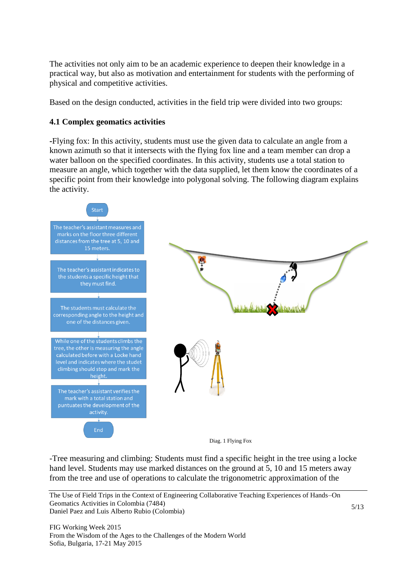The activities not only aim to be an academic experience to deepen their knowledge in a practical way, but also as motivation and entertainment for students with the performing of physical and competitive activities.

Based on the design conducted, activities in the field trip were divided into two groups:

#### **4.1 Complex geomatics activities**

**-**Flying fox: In this activity, students must use the given data to calculate an angle from a known azimuth so that it intersects with the flying fox line and a team member can drop a water balloon on the specified coordinates. In this activity, students use a total station to measure an angle, which together with the data supplied, let them know the coordinates of a specific point from their knowledge into polygonal solving. The following diagram explains the activity.



-Tree measuring and climbing: Students must find a specific height in the tree using a locke hand level. Students may use marked distances on the ground at 5, 10 and 15 meters away from the tree and use of operations to calculate the trigonometric approximation of the

The Use of Field Trips in the Context of Engineering Collaborative Teaching Experiences of Hands–On Geomatics Activities in Colombia (7484) Daniel Paez and Luis Alberto Rubio (Colombia)

FIG Working Week 2015 From the Wisdom of the Ages to the Challenges of the Modern World Sofia, Bulgaria, 17-21 May 2015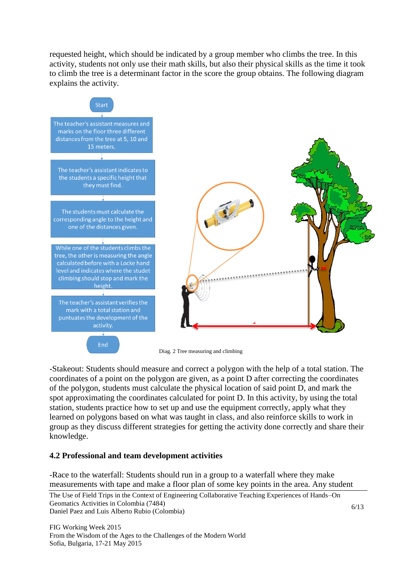requested height, which should be indicated by a group member who climbs the tree. In this activity, students not only use their math skills, but also their physical skills as the time it took to climb the tree is a determinant factor in the score the group obtains. The following diagram explains the activity.



-Stakeout: Students should measure and correct a polygon with the help of a total station. The coordinates of a point on the polygon are given, as a point D after correcting the coordinates of the polygon, students must calculate the physical location of said point D, and mark the spot approximating the coordinates calculated for point D. In this activity, by using the total station, students practice how to set up and use the equipment correctly, apply what they learned on polygons based on what was taught in class, and also reinforce skills to work in group as they discuss different strategies for getting the activity done correctly and share their knowledge.

### **4.2 Professional and team development activities**

-Race to the waterfall: Students should run in a group to a waterfall where they make measurements with tape and make a floor plan of some key points in the area. Any student

The Use of Field Trips in the Context of Engineering Collaborative Teaching Experiences of Hands–On Geomatics Activities in Colombia (7484) Daniel Paez and Luis Alberto Rubio (Colombia)

FIG Working Week 2015 From the Wisdom of the Ages to the Challenges of the Modern World Sofia, Bulgaria, 17-21 May 2015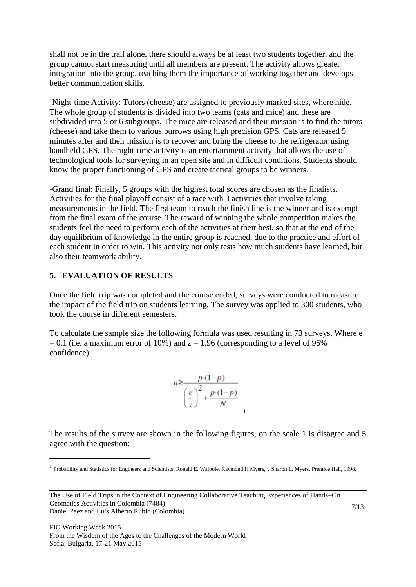shall not be in the trail alone, there should always be at least two students together, and the group cannot start measuring until all members are present. The activity allows greater integration into the group, teaching them the importance of working together and develops better communication skills.

-Night-time Activity: Tutors (cheese) are assigned to previously marked sites, where hide. The whole group of students is divided into two teams (cats and mice) and these are subdivided into 5 or 6 subgroups. The mice are released and their mission is to find the tutors (cheese) and take them to various burrows using high precision GPS. Cats are released 5 minutes after and their mission is to recover and bring the cheese to the refrigerator using handheld GPS. The night-time activity is an entertainment activity that allows the use of technological tools for surveying in an open site and in difficult conditions. Students should know the proper functioning of GPS and create tactical groups to be winners.

-Grand final: Finally, 5 groups with the highest total scores are chosen as the finalists. Activities for the final playoff consist of a race with 3 activities that involve taking measurements in the field. The first team to reach the finish line is the winner and is exempt from the final exam of the course. The reward of winning the whole competition makes the students feel the need to perform each of the activities at their best, so that at the end of the day equilibrium of knowledge in the entire group is reached, due to the practice and effort of each student in order to win. This activity not only tests how much students have learned, but also their teamwork ability.

#### **5. EVALUATION OF RESULTS**

 $\overline{a}$ 

Once the field trip was completed and the course ended, surveys were conducted to measure the impact of the field trip on students learning. The survey was applied to 300 students, who took the course in different semesters.

To calculate the sample size the following formula was used resulting in 73 surveys. Where e  $= 0.1$  (i.e. a maximum error of 10%) and  $z = 1.96$  (corresponding to a level of 95% confidence).

$$
n \ge \frac{p \cdot (1-p)}{\left(\frac{e}{z}\right)^2 + \frac{p \cdot (1-p)}{N}}
$$

The results of the survey are shown in the following figures, on the scale 1 is disagree and 5 agree with the question:

<sup>&</sup>lt;sup>1</sup> Probability and Statistics for Engineers and Scientists, Ronald E. Walpole, Raymond H Myers, y Sharon L. Myers. Prentice Hall, 1998.

The Use of Field Trips in the Context of Engineering Collaborative Teaching Experiences of Hands–On Geomatics Activities in Colombia (7484) Daniel Paez and Luis Alberto Rubio (Colombia)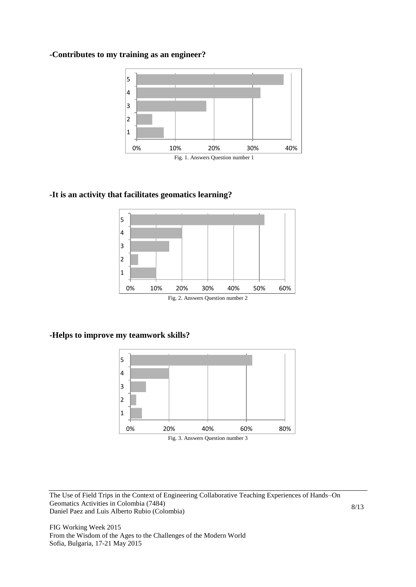#### **-Contributes to my training as an engineer?**



#### **-It is an activity that facilitates geomatics learning?**



#### **-Helps to improve my teamwork skills?**



The Use of Field Trips in the Context of Engineering Collaborative Teaching Experiences of Hands–On Geomatics Activities in Colombia (7484) Daniel Paez and Luis Alberto Rubio (Colombia)

FIG Working Week 2015 From the Wisdom of the Ages to the Challenges of the Modern World Sofia, Bulgaria, 17-21 May 2015

8/13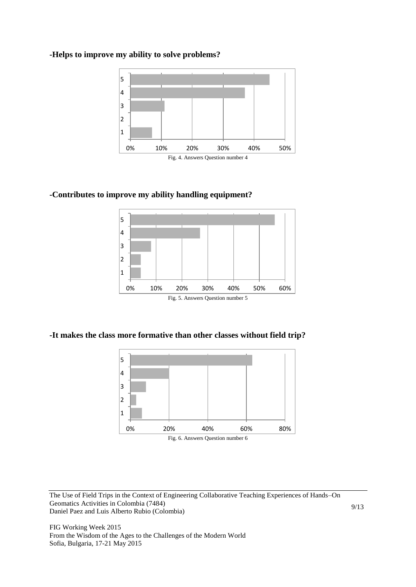#### **-Helps to improve my ability to solve problems?**



### **-Contributes to improve my ability handling equipment?**



#### **-It makes the class more formative than other classes without field trip?**



The Use of Field Trips in the Context of Engineering Collaborative Teaching Experiences of Hands–On Geomatics Activities in Colombia (7484) Daniel Paez and Luis Alberto Rubio (Colombia)

FIG Working Week 2015 From the Wisdom of the Ages to the Challenges of the Modern World Sofia, Bulgaria, 17-21 May 2015

9/13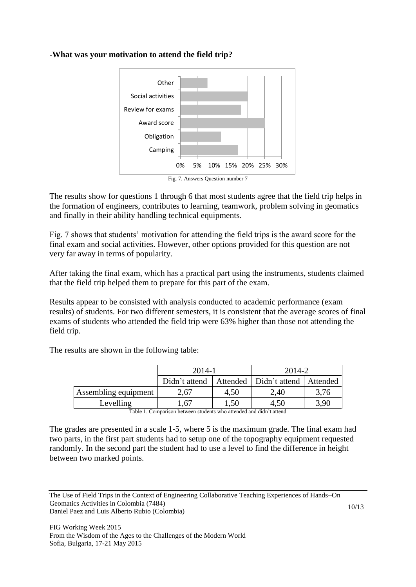### **-What was your motivation to attend the field trip?**



The results show for questions 1 through 6 that most students agree that the field trip helps in the formation of engineers, contributes to learning, teamwork, problem solving in geomatics and finally in their ability handling technical equipments.

Fig. 7 shows that students' motivation for attending the field trips is the award score for the final exam and social activities. However, other options provided for this question are not very far away in terms of popularity.

After taking the final exam, which has a practical part using the instruments, students claimed that the field trip helped them to prepare for this part of the exam.

Results appear to be consisted with analysis conducted to academic performance (exam results) of students. For two different semesters, it is consistent that the average scores of final exams of students who attended the field trip were 63% higher than those not attending the field trip.

The results are shown in the following table:

|                      | 2014-1 |      | 2014-2                                              |      |
|----------------------|--------|------|-----------------------------------------------------|------|
|                      |        |      | Didn't attend   Attended   Didn't attend   Attended |      |
| Assembling equipment | 2,67   | 4,50 | 2,40                                                | 3,76 |
| Levelling            | .,67   | .50  | 4.50                                                | 3,90 |

Table 1. Comparison between students who attended and didn't attend

The grades are presented in a scale 1-5, where 5 is the maximum grade. The final exam had two parts, in the first part students had to setup one of the topography equipment requested randomly. In the second part the student had to use a level to find the difference in height between two marked points.

The Use of Field Trips in the Context of Engineering Collaborative Teaching Experiences of Hands–On Geomatics Activities in Colombia (7484) Daniel Paez and Luis Alberto Rubio (Colombia)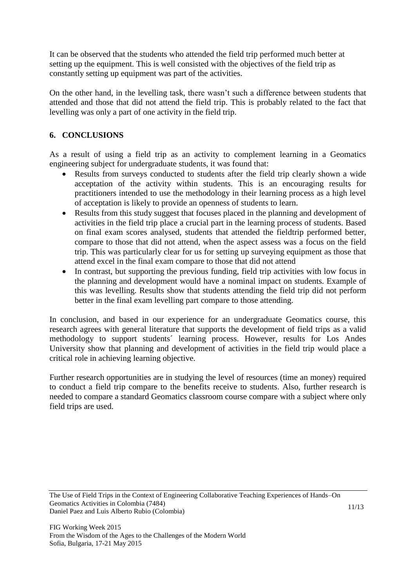It can be observed that the students who attended the field trip performed much better at setting up the equipment. This is well consisted with the objectives of the field trip as constantly setting up equipment was part of the activities.

On the other hand, in the levelling task, there wasn't such a difference between students that attended and those that did not attend the field trip. This is probably related to the fact that levelling was only a part of one activity in the field trip.

## **6. CONCLUSIONS**

As a result of using a field trip as an activity to complement learning in a Geomatics engineering subject for undergraduate students, it was found that:

- Results from surveys conducted to students after the field trip clearly shown a wide acceptation of the activity within students. This is an encouraging results for practitioners intended to use the methodology in their learning process as a high level of acceptation is likely to provide an openness of students to learn.
- Results from this study suggest that focuses placed in the planning and development of activities in the field trip place a crucial part in the learning process of students. Based on final exam scores analysed, students that attended the fieldtrip performed better, compare to those that did not attend, when the aspect assess was a focus on the field trip. This was particularly clear for us for setting up surveying equipment as those that attend excel in the final exam compare to those that did not attend
- In contrast, but supporting the previous funding, field trip activities with low focus in the planning and development would have a nominal impact on students. Example of this was levelling. Results show that students attending the field trip did not perform better in the final exam levelling part compare to those attending.

In conclusion, and based in our experience for an undergraduate Geomatics course, this research agrees with general literature that supports the development of field trips as a valid methodology to support students´ learning process. However, results for Los Andes University show that planning and development of activities in the field trip would place a critical role in achieving learning objective.

Further research opportunities are in studying the level of resources (time an money) required to conduct a field trip compare to the benefits receive to students. Also, further research is needed to compare a standard Geomatics classroom course compare with a subject where only field trips are used.

The Use of Field Trips in the Context of Engineering Collaborative Teaching Experiences of Hands–On Geomatics Activities in Colombia (7484) Daniel Paez and Luis Alberto Rubio (Colombia)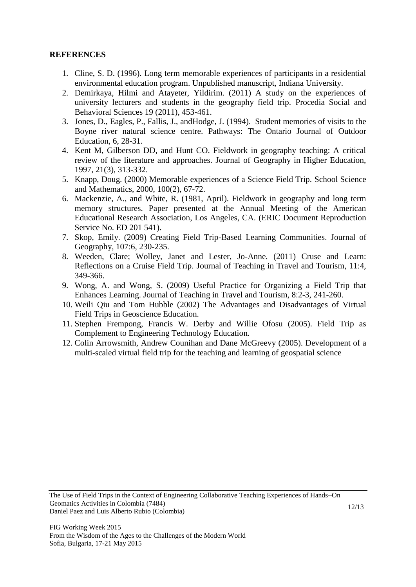#### **REFERENCES**

- 1. Cline, S. D. (1996). Long term memorable experiences of participants in a residential environmental education program. Unpublished manuscript, Indiana University.
- 2. Demirkaya, Hilmi and Atayeter, Yildirim. (2011) A study on the experiences of university lecturers and students in the geography field trip. Procedia Social and Behavioral Sciences 19 (2011), 453-461.
- 3. Jones, D., Eagles, P., Fallis, J., andHodge, J. (1994). Student memories of visits to the Boyne river natural science centre. Pathways: The Ontario Journal of Outdoor Education, 6, 28-31.
- 4. Kent M, Gilberson DD, and Hunt CO. Fieldwork in geography teaching: A critical review of the literature and approaches. Journal of Geography in Higher Education, 1997, 21(3), 313-332.
- 5. Knapp, Doug. (2000) Memorable experiences of a Science Field Trip. School Science and Mathematics, 2000, 100(2), 67-72.
- 6. Mackenzie, A., and White, R. (1981, April). Fieldwork in geography and long term memory structures. Paper presented at the Annual Meeting of the American Educational Research Association, Los Angeles, CA. (ERIC Document Reproduction Service No. ED 201 541).
- 7. Skop, Emily. (2009) Creating Field Trip-Based Learning Communities. Journal of Geography, 107:6, 230-235.
- 8. Weeden, Clare; Wolley, Janet and Lester, Jo-Anne. (2011) Cruse and Learn: Reflections on a Cruise Field Trip. Journal of Teaching in Travel and Tourism, 11:4, 349-366.
- 9. Wong, A. and Wong, S. (2009) Useful Practice for Organizing a Field Trip that Enhances Learning. Journal of Teaching in Travel and Tourism, 8:2-3, 241-260.
- 10. Weili Qiu and Tom Hubble (2002) The Advantages and Disadvantages of Virtual Field Trips in Geoscience Education.
- 11. Stephen Frempong, Francis W. Derby and Willie Ofosu (2005). Field Trip as Complement to Engineering Technology Education.
- 12. Colin Arrowsmith, Andrew Counihan and Dane McGreevy (2005). Development of a multi-scaled virtual field trip for the teaching and learning of geospatial science